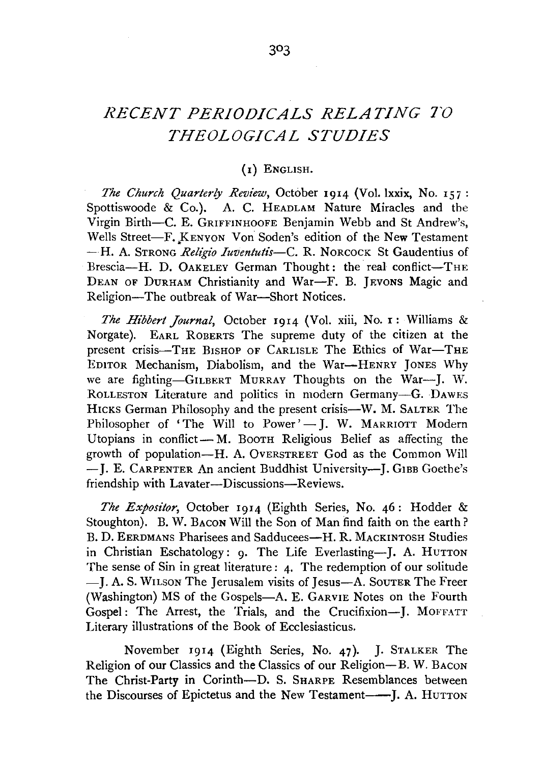## *RECENT PERIODICALS RELATING TO THEOLOGICAL STUDIES*

## (I) ENGLISH.

*The Church Quarterly Review,* October 1914 (Vol. lxxix, No. 157: Spottiswoode & Co.). A. C. HEADLAM Nature Miracles and the Virgin Birth-C. E. GRIFFINHOOFE Benjamin Webb and St Andrew's, Wells Street-F. KENYON Von Soden's edition of the New Testament  $-H.$  A. STRONG *Religio Iuventutis*—C. R. NORCOCK St Gaudentius of Brescia-H. D. OAKELEY German Thought: the real conflict-THE DEAN OF DURHAM Christianity and War-F. B. JEVONS Magic and Religion-The outbreak of War-Short Notices.

*The Hibbert Journal,* October 1914 (Vol. xiii, No. I: Williams & Norgate). EARL ROBERTS The supreme duty of the citizen at the present crisis-THE BISHOP OF CARLISLE The Ethics of War-THE EDITOR Mechanism, Diabolism, and the War-HENRY JoNES Why we are fighting-GILBERT MuRRAY Thoughts on the War-J. W. RoLLESTON Literature and politics in modern Germany-G. DAWES HICKS German Philosophy and the present crisis—W. M. SALTER The Philosopher of 'The Will to Power'- J. W. MARRIOTT Modern Utopians in conflict-M. Booth Religious Belief as affecting the growth of population-H. A. OvERSTREET God as the Common Will - J. E. CARPENTER An ancient Buddhist University-- J. GIBB Goethe's friendship with Lavater-Discussions-Reviews.

*The Expositor,* October 1914 (Eighth Series, No. 46: Hodder & Stoughton). B. W. BACON Will the Son of Man find faith on the earth? B. D. EERDMANS Pharisees and Sadducees-H. R. MACKINTOSH Studies in Christian Eschatology: 9. The Life Everlasting-J. A. HUTTON The sense of Sin in great literature : 4. The redemption of our solitude -J. A. S. WILSON The Jerusalem visits of Jesus-A. SouTER The Freer (Washington) MS of the Gospels-A. E. GARVIE Notes on the Fourth Gospel: The Arrest, the Trials, and the Crucifixion-J. MoFFATT Literary illustrations of the Book of Ecclesiasticus.

November 1914 (Eighth Series, No. 47). J. STALKER The Religion of our Classics and the Classics of our Religion-B. W. BACON The Christ-Party in Corinth-D. S. SHARPE Resemblances between the Discourses of Epictetus and the New Testament--J. A. HuTTON